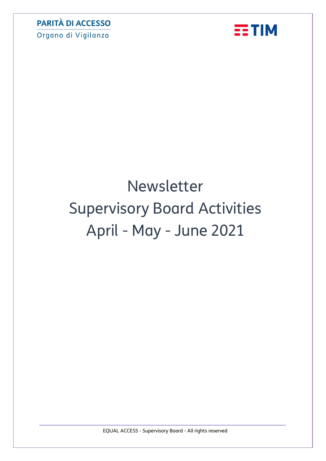Organo di Vigilanza



# Newsletter Supervisory Board Activities April - May - June 2021

EQUAL ACCESS - Supervisory Board - All rights reserved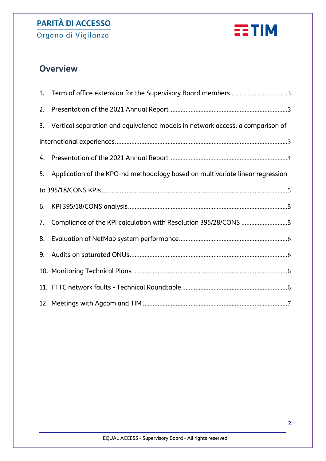Organo di Vigilanza



# **Overview**

|    | 1. Term of office extension for the Supervisory Board members 3                  |
|----|----------------------------------------------------------------------------------|
| 2. |                                                                                  |
|    | 3. Vertical separation and equivalence models in network access: a comparison of |
|    |                                                                                  |
|    |                                                                                  |
| 5. | Application of the KPO-nd methodology based on multivariate linear regression    |
|    |                                                                                  |
|    |                                                                                  |
| 7. |                                                                                  |
| 8. |                                                                                  |
| 9. |                                                                                  |
|    |                                                                                  |
|    |                                                                                  |
|    |                                                                                  |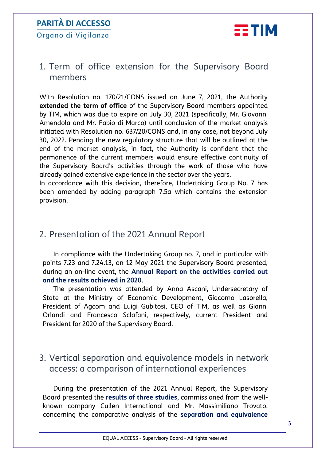Organo di Vigilanza



#### <span id="page-2-0"></span>1. Term of office extension for the Supervisory Board members

With Resolution no. 170/21/CONS issued on June 7, 2021, the Authority **extended the term of office** of the Supervisory Board members appointed by TIM, which was due to expire on July 30, 2021 (specifically, Mr. Giovanni Amendola and Mr. Fabio di Marco) until conclusion of the market analysis initiated with Resolution no. 637/20/CONS and, in any case, not beyond July 30, 2022. Pending the new regulatory structure that will be outlined at the end of the market analysis, in fact, the Authority is confident that the permanence of the current members would ensure effective continuity of the Supervisory Board's activities through the work of those who have already gained extensive experience in the sector over the years.

In accordance with this decision, therefore, Undertaking Group No. 7 has been amended by adding paragraph 7.5a which contains the extension provision.

#### <span id="page-2-1"></span>2. Presentation of the 2021 Annual Report

In compliance with the Undertaking Group no. 7, and in particular with points 7.23 and 7.24.13, on 12 May 2021 the Supervisory Board presented, during an on-line event, the **Annual Report on the activities carried out and the results achieved in 2020**.

The presentation was attended by Anna Ascani, Undersecretary of State at the Ministry of Economic Development, Giacomo Lasorella, President of Agcom and Luigi Gubitosi, CEO of TIM, as well as Gianni Orlandi and Francesco Sclafani, respectively, current President and President for 2020 of the Supervisory Board.

#### <span id="page-2-2"></span>3. Vertical separation and equivalence models in network access: a comparison of international experiences

During the presentation of the 2021 Annual Report, the Supervisory Board presented the **results of three studies**, commissioned from the wellknown company Cullen International and Mr. Massimiliano Trovato, concerning the comparative analysis of the **separation and equivalence**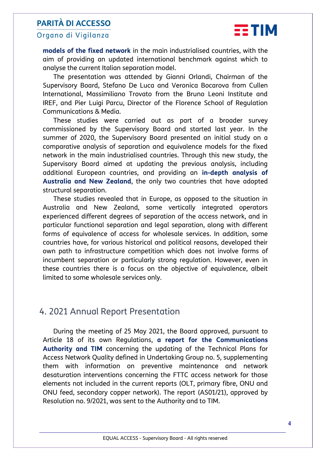#### Organo di Vigilanza



**models of the fixed network** in the main industrialised countries, with the aim of providing an updated international benchmark against which to analyse the current Italian separation model.

The presentation was attended by Gianni Orlandi, Chairman of the Supervisory Board, Stefano De Luca and Veronica Bocarova from Cullen International, Massimiliano Trovato from the Bruno Leoni Institute and IREF, and Pier Luigi Parcu, Director of the Florence School of Regulation Communications & Media.

These studies were carried out as part of a broader survey commissioned by the Supervisory Board and started last year. In the summer of 2020, the Supervisory Board presented an initial study on a comparative analysis of separation and equivalence models for the fixed network in the main industrialised countries. Through this new study, the Supervisory Board aimed at updating the previous analysis, including additional European countries, and providing an **in-depth analysis of Australia and New Zealand**, the only two countries that have adopted structural separation.

These studies revealed that in Europe, as opposed to the situation in Australia and New Zealand, some vertically integrated operators experienced different degrees of separation of the access network, and in particular functional separation and legal separation, along with different forms of equivalence of access for wholesale services. In addition, some countries have, for various historical and political reasons, developed their own path to infrastructure competition which does not involve forms of incumbent separation or particularly strong regulation. However, even in these countries there is a focus on the objective of equivalence, albeit limited to some wholesale services only.

#### <span id="page-3-0"></span>4. 2021 Annual Report Presentation

During the meeting of 25 May 2021, the Board approved, pursuant to Article 18 of its own Regulations, **a report for the Communications Authority and TIM** concerning the updating of the Technical Plans for Access Network Quality defined in Undertaking Group no. 5, supplementing them with information on preventive maintenance and network desaturation interventions concerning the FTTC access network for those elements not included in the current reports (OLT, primary fibre, ONU and ONU feed, secondary copper network). The report (AS01/21), approved by Resolution no. 9/2021, was sent to the Authority and to TIM.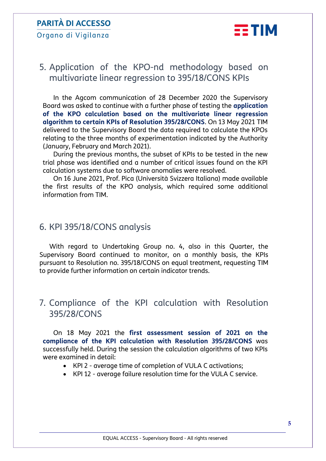Organo di Vigilanza



## <span id="page-4-0"></span>5. Application of the KPO-nd methodology based on multivariate linear regression to 395/18/CONS KPIs

In the Agcom communication of 28 December 2020 the Supervisory Board was asked to continue with a further phase of testing the **application of the KPO calculation based on the multivariate linear regression algorithm to certain KPIs of Resolution 395/28/CONS**. On 13 May 2021 TIM delivered to the Supervisory Board the data required to calculate the KPOs relating to the three months of experimentation indicated by the Authority (January, February and March 2021).

During the previous months, the subset of KPIs to be tested in the new trial phase was identified and a number of critical issues found on the KPI calculation systems due to software anomalies were resolved.

On 16 June 2021, Prof. Pica (Università Svizzera Italiana) made available the first results of the KPO analysis, which required some additional information from TIM.

#### <span id="page-4-1"></span>6. KPI 395/18/CONS analysis

With regard to Undertaking Group no. 4, also in this Quarter, the Supervisory Board continued to monitor, on a monthly basis, the KPIs pursuant to Resolution no. 395/18/CONS on equal treatment, requesting TIM to provide further information on certain indicator trends.

#### <span id="page-4-2"></span>7. Compliance of the KPI calculation with Resolution 395/28/CONS

On 18 May 2021 the **first assessment session of 2021 on the compliance of the KPI calculation with Resolution 395/28/CONS** was successfully held. During the session the calculation algorithms of two KPIs were examined in detail:

- KPI 2 average time of completion of VULA C activations;
- KPI 12 average failure resolution time for the VULA C service.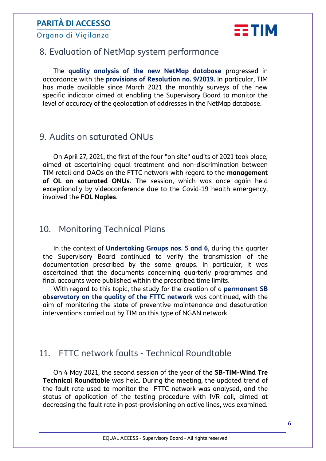Organo di Vigilanza



## <span id="page-5-0"></span>8. Evaluation of NetMap system performance

The **quality analysis of the new NetMap database** progressed in accordance with the **provisions of Resolution no. 9/2019.** In particular, TIM has made available since March 2021 the monthly surveys of the new specific indicator aimed at enabling the Supervisory Board to monitor the level of accuracy of the geolocation of addresses in the NetMap database.

#### <span id="page-5-1"></span>9. Audits on saturated ONUs

On April 27, 2021, the first of the four "on site" audits of 2021 took place, aimed at ascertaining equal treatment and non-discrimination between TIM retail and OAOs on the FTTC network with regard to the **management of OL on saturated ONUs**. The session, which was once again held exceptionally by videoconference due to the Covid-19 health emergency, involved the **FOL Naples**.

#### <span id="page-5-2"></span>10. Monitoring Technical Plans

In the context of **Undertaking Groups nos. 5 and 6**, during this quarter the Supervisory Board continued to verify the transmission of the documentation prescribed by the same groups. In particular, it was ascertained that the documents concerning quarterly programmes and final accounts were published within the prescribed time limits.

With regard to this topic, the study for the creation of a **permanent SB observatory on the quality of the FTTC network** was continued, with the aim of monitoring the state of preventive maintenance and desaturation interventions carried out by TIM on this type of NGAN network.

#### <span id="page-5-3"></span>11. FTTC network faults - Technical Roundtable

On 4 May 2021, the second session of the year of the **SB-TIM-Wind Tre Technical Roundtable** was held. During the meeting, the updated trend of the fault rate used to monitor the FTTC network was analysed, and the status of application of the testing procedure with IVR call, aimed at decreasing the fault rate in post-provisioning on active lines, was examined.